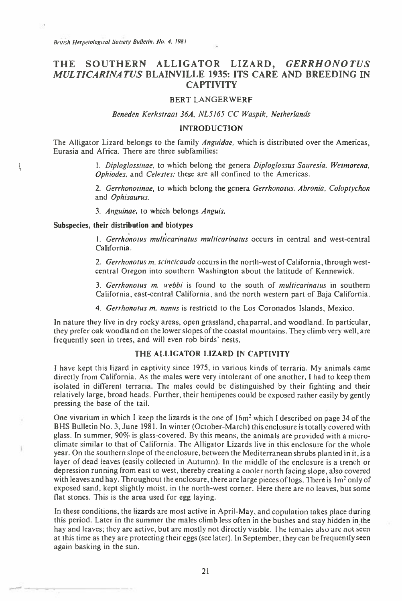# THE SOUTHERN ALLIGATOR LIZARD, *GERRHONOTUS MULTICARINATUS* **BLAINVILLE 1935: ITS CARE AND BREEDING IN CAPTIVITY**

#### BERT LANGERWERF

Beneden Kerkstraat 36A, NL5165 CC Waspik, Netherlands

#### INTRODUCTION

The Alligator Lizard belongs to the family Anguidae, which is distributed over the Americas, Eurasia and Africa. There are three subfamilies:

> 1. Diploglossinae, to which belong the genera Diploglossus Sauresia. Wetmorena, Ophiodes, and Celestes; these are all confined to the Americas.

> 2. Gerrhonotinae, to which belong the genera Gerrhonotus, Abronia. Coloptychon and Ophisaurus.

3. Anguinae, to which belongs Anguis.

Subspecies, **their distribution and biotypes** 

 $\frac{1}{2}$ 

1. Gerrhonotus multicarinatus multicarinatus occurs in central and west-central California.

2. Gerrhonotus m. scincicauda occurs in the north-west of California, through westcentral Oregon into southern Washington about the latitude of Kennewick.

3. Gerrhonotus m. webbi is found to the south of multicarinatus in southern California, east-central California, and the north western part of Baja California.

4. Gerrhonotus m. nanus is restrictd to the Los Coronados Islands, Mexico.

In nature they live in dry rocky areas, open grassland, chaparral, and woodland. In particular, they prefer oak woodland on the lower slopes of the coastal mountains. They climb very well, are frequently seen in trees, and will even rob birds' nests.

# **THE ALLIGATOR LIZARD IN CAPTIVITY**

I have kept this lizard in captivity since 1975, in various kinds of terraria. My animals came directly from California. As the males were very intolerant of one another, I had to keep them isolated in different terraria. The males could be distinguished by their fighting and their relatively large, broad heads. Further, their hemipenes could be exposed rather easily by gently pressing the base of the tail.

One vivarium in which I keep the lizards is the one of  $16m<sup>2</sup>$  which I described on page 34 of the BHS Bulletin No. 3, June 1981. In winter (October-March) this enclosure is totally covered with glass. In summer, 90% is glass-covered. By this means, the animals are provided with a microclimate similar to that of California. The Alligator Lizards live in this enclosure for the whole year. On the southern slope of the enclosure, between the Mediterranean shrubs planted in it, is a layer of dead leaves (easily collected in Autumn). In the middle of the enclosure is a trench or depression running from east to west, thereby creating a cooler north facing slope, also covered with leaves and hay. Throughout the enclosure, there are large pieces of logs. There is 1m<sup>2</sup> only of exposed sand, kept slightly moist, in the north-west corner. Here there are no leaves, but some flat stones. This is the area used for egg laying.

In these conditions, the lizards are most active in April-May, and copulation takes place during this period. Later in the summer the males climb less often in the bushes and stay hidden in the hay and leaves; they are active, but are mostly not directly visible. The temales also are not seen at this time as they are protecting their eggs (see later). In September, they can be frequently seen again basking in the sun.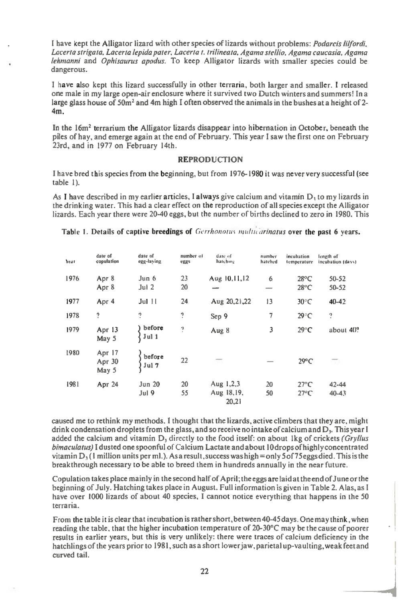I have kept the Alligator lizard with other species of lizards without problems: *Podarcis lilfordi. Lacerta strigata. Lacerta lepida pater. Lacerta* 1. *trilineata, Agama stellio. Agama caucasia, Agama lehmanni* and *Ophisaurus apodus.* To keep Alligator lizards with smaller species could be dangerous.

I have also kept this lizard successfully in other terraria, both larger and smaller. I released one male in my large open-air enclosure where it survived two Dutch winters and summers! In a large glass house of 50 $m<sup>2</sup>$  and 4m high I often observed the animals in the bushes at a height of 2-4m.

In the 16m<sup>2</sup> terrarium the Alligator lizards disappear into hibernation in October, beneath the piles of hay, and emerge again at the end of February. This year I saw the first one on February 23rd, and in 1977 on February 14th.

### **REPRODUCTION**

I have bred this species from the beginning, but from 1976-1980 it was never very successful (see table 1).

As I have described in my earlier articles, I always give calcium and vitamin  $D_1$  to my lizards in the drinking water. This had a clear effect on the reproduction of all species except the Alligator lizards. Each year there were 20-40 eggs, but the number of births declined to zero in 1980. This

| Year | date of<br>copulation       | date of<br>egg-laying           | number of<br>eggs | date of<br>hatching                | number<br>hatched             | incubation<br>temperature        | length of<br>incubation (days). |
|------|-----------------------------|---------------------------------|-------------------|------------------------------------|-------------------------------|----------------------------------|---------------------------------|
| 1976 | Apr 8<br>Apr 8              | Jun 6<br>Jul <sub>2</sub>       | 23<br>20          | Aug 10,11,12                       | 6<br>$\overline{\phantom{a}}$ | $28^{\circ}$ C<br>$28^{\circ}$ C | $50 - 52$<br>$50 - 52$          |
| 1977 | Apr 4                       | $Jul$ $11$                      | 24                | Aug 20, 21, 22                     | 13                            | $30^{\circ}$ C                   | $40 - 42$                       |
| 1978 | ?                           | 2                               | <sup>2</sup>      | Sep 9                              | 7                             | $29^{\circ}$ C                   | ?                               |
| 1979 | Apr 13<br>May 5             | before<br>$\sqrt{\text{Jul 1}}$ | ņ                 | Aug 8                              | 3                             | $29^{\circ}C$                    | about $40$ ?                    |
| 1980 | Apr 17<br>Apr 30<br>May $5$ | before<br>Jul 7                 | 22                | m                                  |                               | $29^{\circ}$ C                   | π.                              |
| 1981 | Apr 24                      | Jun 20<br>Jul 9                 | 20<br>55          | Aug $1,2,3$<br>Aug 18,19,<br>20.21 | 20<br>50                      | $27^{\circ}$ C<br>$27^{\circ}$ C | $42 - 44$<br>$40 - 43$          |

Table 1. Details of **captive breedings of** *Get-Mono/us multliarinatus* over the past 6 years.

caused me to rethink my methods. **I** thought that the lizards, active climbers that they are, might drink condensation droplets from the glass, and so receive no intake of calcium and D,. This year I added the calcium and vitamin D, directly to the food itself: on about lkg of crickets *(Gryllus bimaculatus)* I dusted one spoonful of *Calcium* Lactate and about I 0 drops of highly concentrated vitamin  $D_1$  (1 million units per ml.). As a result, success was high = only 5 of 75 eggs died. This is the breakthrough necessary to be able to breed them in hundreds annually in the near future.

Copulation takes place mainly in the second half of April; the eggs are laid at the end of June or the beginning of July. Hatching takes place in August. Full information is given in Table 2. Alas, as I have over 1000 lizards of about 40 species, I cannot notice everything that happens in the 50 terraria.

From the table it is clear that incubation is rather short, between 40-45 days. One may think, when reading the table, that the higher incubation temperature of 20-30°C may be the cause of poorer results in earlier years, but this is very unlikely: there were traces of calcium deficiency in the hatchlings of the years prior to 1981, such as a short lower jaw, parietal up-vaulting, weak feet and curved tail.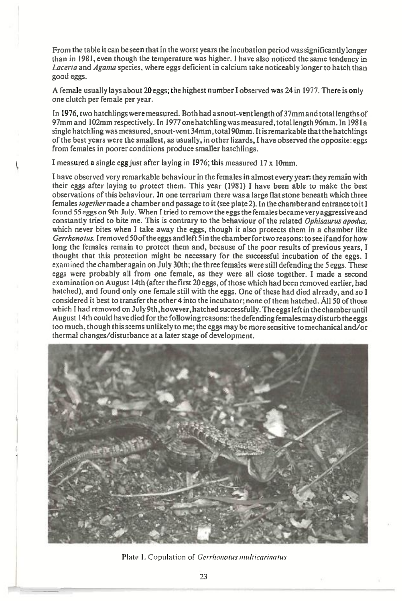From the table it can be seen that in the worst years the incubation period was significantly longer than in 1981, even though the temperature was higher. I have also noticed the same tendency in *Lacerta* and *Agama* species, where eggs deficient in calcium take noticeably longer to hatch than good eggs.

A female usually lays about 20 eggs; the highest number I observed was 24 in 1977. There is only one clutch per female per year.

In 1976, two hatchlings were measured. Both had a snout-vent length of 37mm and total lengths of 97mm and 102mm respectively. In 1977 one hatch ling was measured , total length 96mm. In 1981a single hatchling was measured, snout-vent 34mm, total 90mm. It is remarkable that the hatchlings of the best years were the smallest, as usually, in other lizards, I have observed the opposite: eggs from females in poorer conditions produce smaller hatchlings.

I measured a single egg just after laying in 1976; this measured 17 x 10mm.

I have observed very remarkable behaviour in the females in almost *every* year: they remain with their eggs after laying to protect them. This year (1981) I have been able to make the best observations of this behaviour. In one terrarium there was a large flat stone beneath which three females *togethermade a* chamber and passage to it (see plate 2). In the chamber and entrance to it I found 55 eggs on 9th July. When I tried to remove the eggs the females became very aggressive and constantly tried to bite me. This is contrary to the behaviour of the related *Ophisaurus apodus,*  which never bites when I take away the eggs, though it also protects them in a chamber like *Gerrhonotus.* I removed 50 of the eggs and left 5 in the chamber for two reasons: to see if and for how long the females remain to protect them and, because of the poor results of previous years, I thought that this protection might be necessary for the successful incubation of the eggs. I examined the chamber again on July 30th; the three females were still defending the 5 eggs. These eggs were probably all from one female, as they were all close together. I made a second examination on August 14th (after the first 20 eggs, of those which had been removed earlier, had hatched), and found only one female still with the eggs. One of these had died already, and so I considered it best to transfer the other 4 into the incubator; none of them hatched. All 50 of those which I had removed on July 9th, however, hatched successfully. The eggs left in the chamber until August 14th could have died for the following reasons: the defending females may disturb the eggs too much, though this seems unlikely to me; the eggs may be more sensitive to mechanical and/or thermal changes/disturbance at a later stage of development.



Plate 1. Copulation of Gerrhonotus multicarinatus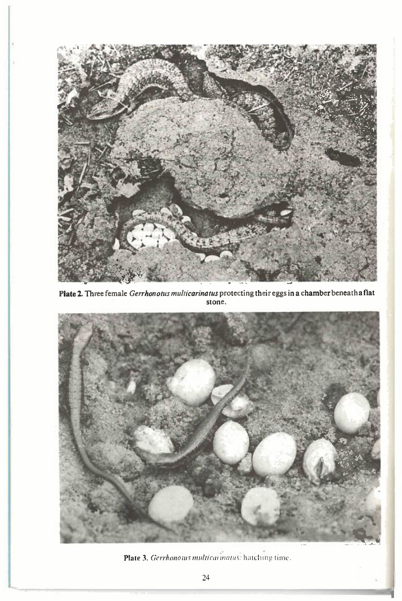

**Plate 2. Three female** *Gerrhonotus muhicarinatus* **protecting their eggs in a chamber beneath a flat stone.** 



Plate 3. *Gerrhonotus multicai matus:* hatching time.